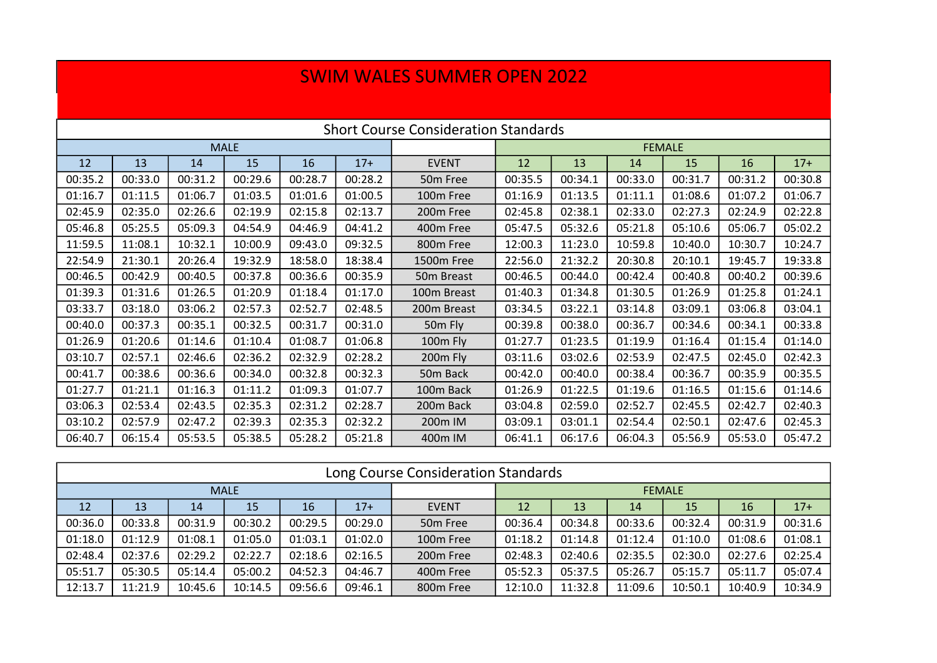## SWIM WALES SUMMER OPEN 2022

| <b>Short Course Consideration Standards</b> |         |         |         |         |         |                      |               |         |         |         |         |         |  |
|---------------------------------------------|---------|---------|---------|---------|---------|----------------------|---------------|---------|---------|---------|---------|---------|--|
| <b>MALE</b>                                 |         |         |         |         |         |                      | <b>FEMALE</b> |         |         |         |         |         |  |
| 12                                          | 13      | 14      | 15      | 16      | $17+$   | <b>EVENT</b>         | 12            | 13      | 14      | 15      | 16      | $17+$   |  |
| 00:35.2                                     | 00:33.0 | 00:31.2 | 00:29.6 | 00:28.7 | 00:28.2 | 50 <sub>m</sub> Free | 00:35.5       | 00:34.1 | 00:33.0 | 00:31.7 | 00:31.2 | 00:30.8 |  |
| 01:16.7                                     | 01:11.5 | 01:06.7 | 01:03.5 | 01:01.6 | 01:00.5 | 100m Free            | 01:16.9       | 01:13.5 | 01:11.1 | 01:08.6 | 01:07.2 | 01:06.7 |  |
| 02:45.9                                     | 02:35.0 | 02:26.6 | 02:19.9 | 02:15.8 | 02:13.7 | 200m Free            | 02:45.8       | 02:38.1 | 02:33.0 | 02:27.3 | 02:24.9 | 02:22.8 |  |
| 05:46.8                                     | 05:25.5 | 05:09.3 | 04:54.9 | 04:46.9 | 04:41.2 | 400m Free            | 05:47.5       | 05:32.6 | 05:21.8 | 05:10.6 | 05:06.7 | 05:02.2 |  |
| 11:59.5                                     | 11:08.1 | 10:32.1 | 10:00.9 | 09:43.0 | 09:32.5 | 800m Free            | 12:00.3       | 11:23.0 | 10:59.8 | 10:40.0 | 10:30.7 | 10:24.7 |  |
| 22:54.9                                     | 21:30.1 | 20:26.4 | 19:32.9 | 18:58.0 | 18:38.4 | 1500m Free           | 22:56.0       | 21:32.2 | 20:30.8 | 20:10.1 | 19:45.7 | 19:33.8 |  |
| 00:46.5                                     | 00:42.9 | 00:40.5 | 00:37.8 | 00:36.6 | 00:35.9 | 50m Breast           | 00:46.5       | 00:44.0 | 00:42.4 | 00:40.8 | 00:40.2 | 00:39.6 |  |
| 01:39.3                                     | 01:31.6 | 01:26.5 | 01:20.9 | 01:18.4 | 01:17.0 | 100m Breast          | 01:40.3       | 01:34.8 | 01:30.5 | 01:26.9 | 01:25.8 | 01:24.1 |  |
| 03:33.7                                     | 03:18.0 | 03:06.2 | 02:57.3 | 02:52.7 | 02:48.5 | 200m Breast          | 03:34.5       | 03:22.1 | 03:14.8 | 03:09.1 | 03:06.8 | 03:04.1 |  |
| 00:40.0                                     | 00:37.3 | 00:35.1 | 00:32.5 | 00:31.7 | 00:31.0 | 50m Fly              | 00:39.8       | 00:38.0 | 00:36.7 | 00:34.6 | 00:34.1 | 00:33.8 |  |
| 01:26.9                                     | 01:20.6 | 01:14.6 | 01:10.4 | 01:08.7 | 01:06.8 | 100m Fly             | 01:27.7       | 01:23.5 | 01:19.9 | 01:16.4 | 01:15.4 | 01:14.0 |  |
| 03:10.7                                     | 02:57.1 | 02:46.6 | 02:36.2 | 02:32.9 | 02:28.2 | 200 <sub>m</sub> Fly | 03:11.6       | 03:02.6 | 02:53.9 | 02:47.5 | 02:45.0 | 02:42.3 |  |
| 00:41.7                                     | 00:38.6 | 00:36.6 | 00:34.0 | 00:32.8 | 00:32.3 | 50m Back             | 00:42.0       | 00:40.0 | 00:38.4 | 00:36.7 | 00:35.9 | 00:35.5 |  |
| 01:27.7                                     | 01:21.1 | 01:16.3 | 01:11.2 | 01:09.3 | 01:07.7 | 100m Back            | 01:26.9       | 01:22.5 | 01:19.6 | 01:16.5 | 01:15.6 | 01:14.6 |  |
| 03:06.3                                     | 02:53.4 | 02:43.5 | 02:35.3 | 02:31.2 | 02:28.7 | 200m Back            | 03:04.8       | 02:59.0 | 02:52.7 | 02:45.5 | 02:42.7 | 02:40.3 |  |
| 03:10.2                                     | 02:57.9 | 02:47.2 | 02:39.3 | 02:35.3 | 02:32.2 | 200m IM              | 03:09.1       | 03:01.1 | 02:54.4 | 02:50.1 | 02:47.6 | 02:45.3 |  |
| 06:40.7                                     | 06:15.4 | 05:53.5 | 05:38.5 | 05:28.2 | 05:21.8 | 400m IM              | 06:41.1       | 06:17.6 | 06:04.3 | 05:56.9 | 05:53.0 | 05:47.2 |  |

| Long Course Consideration Standards |         |         |         |         |         |                       |               |         |         |         |         |         |  |
|-------------------------------------|---------|---------|---------|---------|---------|-----------------------|---------------|---------|---------|---------|---------|---------|--|
| <b>MALE</b>                         |         |         |         |         |         |                       | <b>FEMALE</b> |         |         |         |         |         |  |
| 12                                  | 13      | 14      | 15      | 16      | $17+$   | <b>EVENT</b>          | 12            | 13      | 14      | 15      | 16      | $17+$   |  |
| 00:36.0                             | 00:33.8 | 00:31.9 | 00:30.2 | 00:29.5 | 00:29.0 | 50 <sub>m</sub> Free  | 00:36.4       | 00:34.8 | 00:33.6 | 00:32.4 | 00:31.9 | 00:31.6 |  |
| 01:18.0                             | 01:12.9 | 01:08.1 | 01:05.0 | 01:03.1 | 01:02.0 | 100m Free             | 01:18.2       | 01:14.8 | 01:12.4 | 01:10.0 | 01:08.6 | 01:08.1 |  |
| 02:48.4                             | 02:37.6 | 02:29.2 | 02:22.7 | 02:18.6 | 02:16.5 | 200 <sub>m</sub> Free | 02:48.3       | 02:40.6 | 02:35.5 | 02:30.0 | 02:27.6 | 02:25.4 |  |
| 05:51.7                             | 05:30.5 | 05:14.4 | 05:00.2 | 04:52.3 | 04:46.7 | 400m Free             | 05:52.3       | 05:37.5 | 05:26.7 | 05:15.7 | 05:11.7 | 05:07.4 |  |
| 12:13.7                             | 11:21.9 | 10:45.6 | 10:14.5 | 09:56.6 | 09:46.1 | 800m Free             | 12:10.0       | 11:32.8 | 11:09.6 | 10:50.1 | 10:40.9 | 10:34.9 |  |